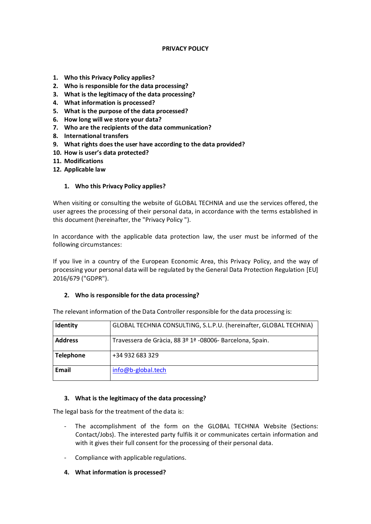## **PRIVACY POLICY**

- **1. Who this Privacy Policy applies?**
- **2. Who is responsible for the data processing?**
- **3. What is the legitimacy of the data processing?**
- **4. What information is processed?**
- **5. What is the purpose of the data processed?**
- **6. How long will we store your data?**
- **7. Who are the recipients of the data communication?**
- **8. International transfers**
- **9. What rights does the user have according to the data provided?**
- **10. How is user's data protected?**
- **11. Modifications**
- **12. Applicable law**

### **1. Who this Privacy Policy applies?**

When visiting or consulting the website of GLOBAL TECHNIA and use the services offered, the user agrees the processing of their personal data, in accordance with the terms established in this document (hereinafter, the "Privacy Policy ").

In accordance with the applicable data protection law, the user must be informed of the following circumstances:

If you live in a country of the European Economic Area, this Privacy Policy, and the way of processing your personal data will be regulated by the General Data Protection Regulation [EU] 2016/679 ("GDPR").

## **2. Who is responsible for the data processing?**

| Identity         | GLOBAL TECHNIA CONSULTING, S.L.P.U. (hereinafter, GLOBAL TECHNIA) |
|------------------|-------------------------------------------------------------------|
| <b>Address</b>   | Travessera de Gràcia, 88 3º 1ª -08006- Barcelona, Spain.          |
| <b>Telephone</b> | +34 932 683 329                                                   |
| <b>Email</b>     | info@b-global.tech                                                |

The relevant information of the Data Controller responsible for the data processing is:

#### **3. What is the legitimacy of the data processing?**

The legal basis for the treatment of the data is:

- The accomplishment of the form on the GLOBAL TECHNIA Website (Sections: Contact/Jobs). The interested party fulfils it or communicates certain information and with it gives their full consent for the processing of their personal data.
- Compliance with applicable regulations.
- **4. What information is processed?**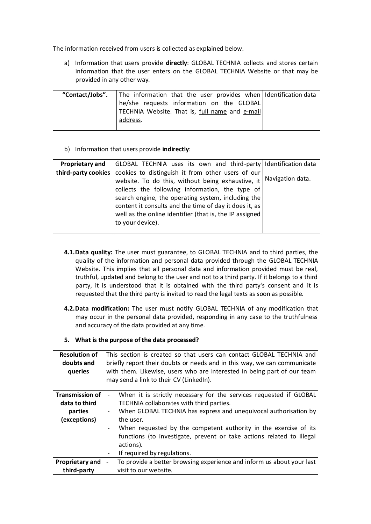The information received from users is collected as explained below.

a) Information that users provide **directly**: GLOBAL TECHNIA collects and stores certain information that the user enters on the GLOBAL TECHNIA Website or that may be provided in any other way.

| "Contact/Jobs". | The information that the user provides when I Identification data |  |
|-----------------|-------------------------------------------------------------------|--|
|                 | he/she requests information on the GLOBAL                         |  |
|                 | TECHNIA Website. That is, full name and e-mail                    |  |
|                 | address.                                                          |  |
|                 |                                                                   |  |

b) Information that users provide **indirectly**:

| <b>Proprietary and</b> | GLOBAL TECHNIA uses its own and third-party   Identification data |                  |
|------------------------|-------------------------------------------------------------------|------------------|
| third-party cookies    | cookies to distinguish it from other users of our                 |                  |
|                        | website. To do this, without being exhaustive, it                 | Navigation data. |
|                        | collects the following information, the type of                   |                  |
|                        | search engine, the operating system, including the                |                  |
|                        | content it consults and the time of day it does it, as            |                  |
|                        | well as the online identifier (that is, the IP assigned           |                  |
|                        | to your device).                                                  |                  |
|                        |                                                                   |                  |

- **4.1.Data quality:** The user must guarantee, to GLOBAL TECHNIA and to third parties, the quality of the information and personal data provided through the GLOBAL TECHNIA Website. This implies that all personal data and information provided must be real, truthful, updated and belong to the user and not to a third party. If it belongs to a third party, it is understood that it is obtained with the third party's consent and it is requested that the third party is invited to read the legal texts as soon as possible.
- **4.2.Data modification:** The user must notify GLOBAL TECHNIA of any modification that may occur in the personal data provided, responding in any case to the truthfulness and accuracy of the data provided at any time.

## **5. What is the purpose of the data processed?**

| <b>Resolution of</b><br>doubts and<br>queries | This section is created so that users can contact GLOBAL TECHNIA and<br>briefly report their doubts or needs and in this way, we can communicate<br>with them. Likewise, users who are interested in being part of our team<br>may send a link to their CV (LinkedIn). |
|-----------------------------------------------|------------------------------------------------------------------------------------------------------------------------------------------------------------------------------------------------------------------------------------------------------------------------|
| <b>Transmission of</b>                        | When it is strictly necessary for the services requested if GLOBAL                                                                                                                                                                                                     |
| data to third                                 | TECHNIA collaborates with third parties.                                                                                                                                                                                                                               |
| parties                                       | When GLOBAL TECHNIA has express and unequivocal authorisation by<br>$\overline{\phantom{a}}$                                                                                                                                                                           |
| (exceptions)                                  | the user.                                                                                                                                                                                                                                                              |
|                                               | When requested by the competent authority in the exercise of its<br>$\overline{\phantom{a}}$                                                                                                                                                                           |
|                                               | functions (to investigate, prevent or take actions related to illegal                                                                                                                                                                                                  |
|                                               | actions).                                                                                                                                                                                                                                                              |
|                                               | If required by regulations.                                                                                                                                                                                                                                            |
| <b>Proprietary and</b>                        | To provide a better browsing experience and inform us about your last<br>$\overline{\phantom{a}}$                                                                                                                                                                      |
| third-party                                   | visit to our website.                                                                                                                                                                                                                                                  |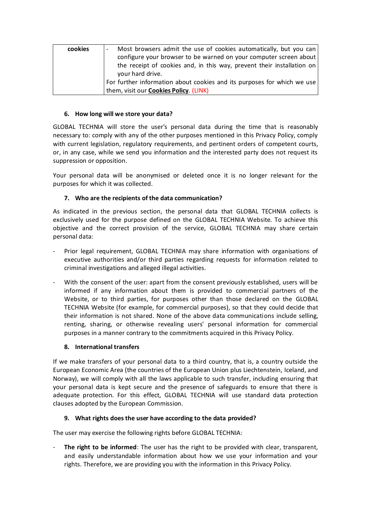| cookies | Most browsers admit the use of cookies automatically, but you can<br>$\overline{\phantom{a}}$<br>configure your browser to be warned on your computer screen about<br>the receipt of cookies and, in this way, prevent their installation on |
|---------|----------------------------------------------------------------------------------------------------------------------------------------------------------------------------------------------------------------------------------------------|
|         | your hard drive.                                                                                                                                                                                                                             |
|         | For further information about cookies and its purposes for which we use                                                                                                                                                                      |
|         | them, visit our <b>Cookies Policy</b> (LINK)                                                                                                                                                                                                 |

# **6. How long will we store your data?**

GLOBAL TECHNIA will store the user's personal data during the time that is reasonably necessary to: comply with any of the other purposes mentioned in this Privacy Policy, comply with current legislation, regulatory requirements, and pertinent orders of competent courts, or, in any case, while we send you information and the interested party does not request its suppression or opposition.

Your personal data will be anonymised or deleted once it is no longer relevant for the purposes for which it was collected.

# **7. Who are the recipients of the data communication?**

As indicated in the previous section, the personal data that GLOBAL TECHNIA collects is exclusively used for the purpose defined on the GLOBAL TECHNIA Website. To achieve this objective and the correct provision of the service, GLOBAL TECHNIA may share certain personal data:

- Prior legal requirement, GLOBAL TECHNIA may share information with organisations of executive authorities and/or third parties regarding requests for information related to criminal investigations and alleged illegal activities.
- With the consent of the user: apart from the consent previously established, users will be informed if any information about them is provided to commercial partners of the Website, or to third parties, for purposes other than those declared on the GLOBAL TECHNIA Website (for example, for commercial purposes), so that they could decide that their information is not shared. None of the above data communications include selling, renting, sharing, or otherwise revealing users' personal information for commercial purposes in a manner contrary to the commitments acquired in this Privacy Policy.

# **8. International transfers**

If we make transfers of your personal data to a third country, that is, a country outside the European Economic Area (the countries of the European Union plus Liechtenstein, Iceland, and Norway), we will comply with all the laws applicable to such transfer, including ensuring that your personal data is kept secure and the presence of safeguards to ensure that there is adequate protection. For this effect, GLOBAL TECHNIA will use standard data protection clauses adopted by the European Commission.

# **9. What rights does the user have according to the data provided?**

The user may exercise the following rights before GLOBAL TECHNIA:

The right to be informed: The user has the right to be provided with clear, transparent, and easily understandable information about how we use your information and your rights. Therefore, we are providing you with the information in this Privacy Policy.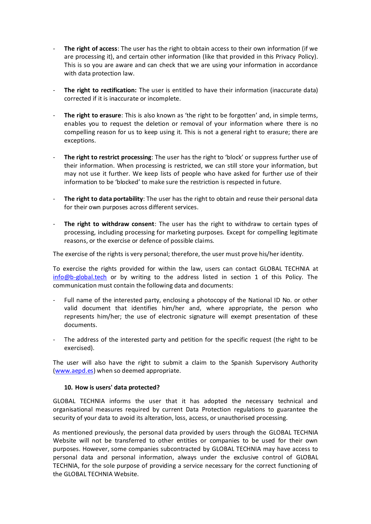- The right of access: The user has the right to obtain access to their own information (if we are processing it), and certain other information (like that provided in this Privacy Policy). This is so you are aware and can check that we are using your information in accordance with data protection law.
- **The right to rectification:** The user is entitled to have their information (inaccurate data) corrected if it is inaccurate or incomplete.
- The right to erasure: This is also known as 'the right to be forgotten' and, in simple terms, enables you to request the deletion or removal of your information where there is no compelling reason for us to keep using it. This is not a general right to erasure; there are exceptions.
- The right to restrict processing: The user has the right to 'block' or suppress further use of their information. When processing is restricted, we can still store your information, but may not use it further. We keep lists of people who have asked for further use of their information to be 'blocked' to make sure the restriction is respected in future.
- The right to data portability: The user has the right to obtain and reuse their personal data for their own purposes across different services.
- The right to withdraw consent: The user has the right to withdraw to certain types of processing, including processing for marketing purposes. Except for compelling legitimate reasons, or the exercise or defence of possible claims.

The exercise of the rights is very personal; therefore, the user must prove his/her identity.

To exercise the rights provided for within the law, users can contact GLOBAL TECHNIA at [info@b-global.tech](mailto:info@b-global.tech) or by writing to the address listed in section 1 of this Policy. The communication must contain the following data and documents:

- Full name of the interested party, enclosing a photocopy of the National ID No. or other valid document that identifies him/her and, where appropriate, the person who represents him/her; the use of electronic signature will exempt presentation of these documents.
- The address of the interested party and petition for the specific request (the right to be exercised).

The user will also have the right to submit a claim to the Spanish Supervisory Authority [\(www.aepd.es\)](http://www.aepd.es/) when so deemed appropriate.

## **10. How is users' data protected?**

GLOBAL TECHNIA informs the user that it has adopted the necessary technical and organisational measures required by current Data Protection regulations to guarantee the security of your data to avoid its alteration, loss, access, or unauthorised processing.

As mentioned previously, the personal data provided by users through the GLOBAL TECHNIA Website will not be transferred to other entities or companies to be used for their own purposes. However, some companies subcontracted by GLOBAL TECHNIA may have access to personal data and personal information, always under the exclusive control of GLOBAL TECHNIA, for the sole purpose of providing a service necessary for the correct functioning of the GLOBAL TECHNIA Website.